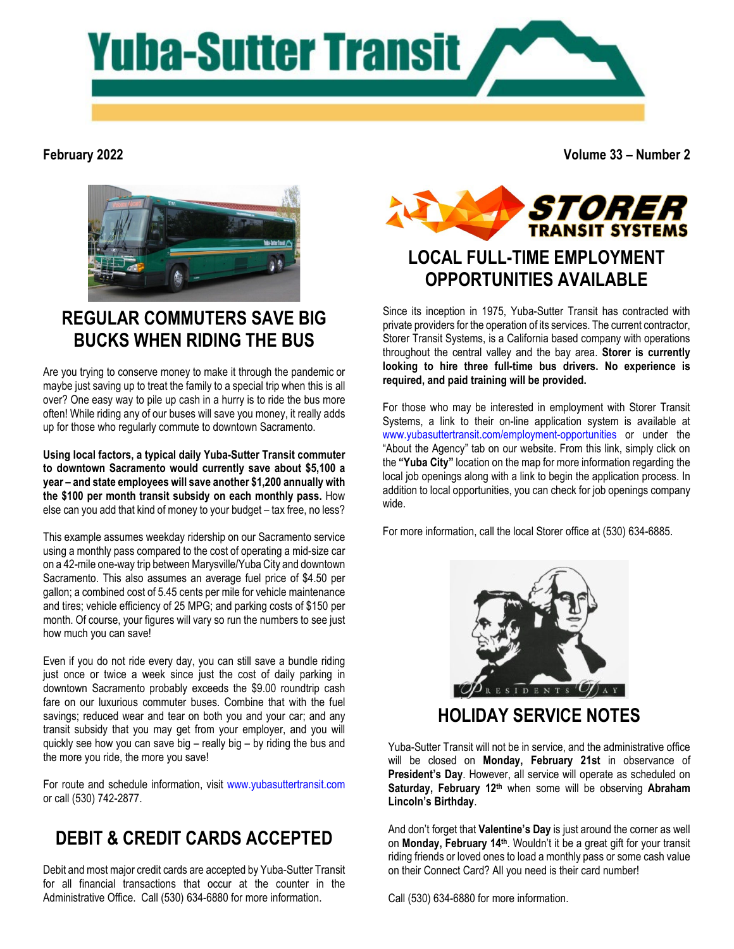

#### **February 2022**

**Volume 33 – Number 2**



## **REGULAR COMMUTERS SAVE BIG BUCKS WHEN RIDING THE BUS**

Are you trying to conserve money to make it through the pandemic or maybe just saving up to treat the family to a special trip when this is all over? One easy way to pile up cash in a hurry is to ride the bus more often! While riding any of our buses will save you money, it really adds up for those who regularly commute to downtown Sacramento.

**Using local factors, a typical daily Yuba-Sutter Transit commuter to downtown Sacramento would currently save about \$5,100 a year – and state employees will save another \$1,200 annually with the \$100 per month transit subsidy on each monthly pass.** How else can you add that kind of money to your budget – tax free, no less?

This example assumes weekday ridership on our Sacramento service using a monthly pass compared to the cost of operating a mid-size car on a 42-mile one-way trip between Marysville/Yuba City and downtown Sacramento. This also assumes an average fuel price of \$4.50 per gallon; a combined cost of 5.45 cents per mile for vehicle maintenance and tires; vehicle efficiency of 25 MPG; and parking costs of \$150 per month. Of course, your figures will vary so run the numbers to see just how much you can save!

Even if you do not ride every day, you can still save a bundle riding just once or twice a week since just the cost of daily parking in downtown Sacramento probably exceeds the \$9.00 roundtrip cash fare on our luxurious commuter buses. Combine that with the fuel savings; reduced wear and tear on both you and your car; and any transit subsidy that you may get from your employer, and you will quickly see how you can save big – really big – by riding the bus and the more you ride, the more you save!

For route and schedule information, visit [www.yubasuttertransit.com](http://www.yubasuttertransit.com/) or call (530) 742-2877.

## **DEBIT & CREDIT CARDS ACCEPTED**

Debit and most major credit cards are accepted by Yuba-Sutter Transit for all financial transactions that occur at the counter in the Administrative Office. Call (530) 634-6880 for more information.



# **OPPORTUNITIES AVAILABLE**

Since its inception in 1975, Yuba-Sutter Transit has contracted with private providers for the operation of its services. The current contractor, Storer Transit Systems, is a California based company with operations throughout the central valley and the bay area. **Storer is currently looking to hire three full-time bus drivers. No experience is required, and paid training will be provided.**

For those who may be interested in employment with Storer Transit Systems, a link to their on-line application system is available at [www.yubasuttertransit.com/employment-opportunities](http://www.yubasuttertransit.com/employment-opportunities) or under the "About the Agency" tab on our website. From this link, simply click on the **"Yuba City"** location on the map for more information regarding the local job openings along with a link to begin the application process. In addition to local opportunities, you can check for job openings company wide.

For more information, call the local Storer office at (530) 634-6885.



Yuba-Sutter Transit will not be in service, and the administrative office will be closed on **Monday, February 21st** in observance of **President's Day**. However, all service will operate as scheduled on **Saturday, February 12th** when some will be observing **Abraham Lincoln's Birthday**.

And don't forget that **Valentine's Day** is just around the corner as well on **Monday, February 14th**. Wouldn't it be a great gift for your transit riding friends or loved ones to load a monthly pass or some cash value on their Connect Card? All you need is their card number!

Call (530) 634-6880 for more information.